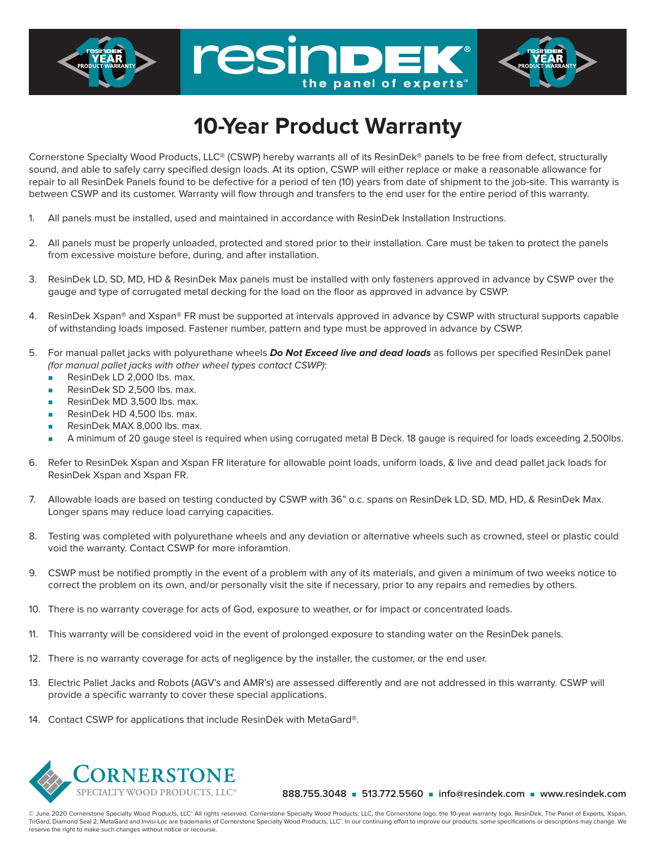## **10-Year Product Warranty**

the panel of experts

resind

Cornerstone Specialty Wood Products, LLC® (CSWP) hereby warrants all of its ResinDek® panels to be free from defect, structurally sound, and able to safely carry specified design loads. At its option, CSWP will either replace or make a reasonable allowance for repair to all ResinDek Panels found to be defective for a period of ten (10) years from date of shipment to the job-site. This warranty is between CSWP and its customer. Warranty will flow through and transfers to the end user for the entire period of this warranty.

- 1. All panels must be installed, used and maintained in accordance with ResinDek Installation Instructions.
- 2. All panels must be properly unloaded, protected and stored prior to their installation. Care must be taken to protect the panels from excessive moisture before, during, and after installation.
- 3. ResinDek LD, SD, MD, HD & ResinDek Max panels must be installed with only fasteners approved in advance by CSWP over the gauge and type of corrugated metal decking for the load on the floor as approved in advance by CSWP.
- 4. ResinDek Xspan® and Xspan® FR must be supported at intervals approved in advance by CSWP with structural supports capable of withstanding loads imposed. Fastener number, pattern and type must be approved in advance by CSWP.
- 5. For manual pallet jacks with polyurethane wheels **Do Not Exceed live and dead loads** as follows per specified ResinDek panel (for manual pallet jacks with other wheel types contact CSWP):
	- ResinDek LD 2,000 lbs. max.
	- ResinDek SD 2,500 lbs. max.
	- ResinDek MD 3,500 lbs. max.
	- ResinDek HD 4.500 lbs. max.
	- ResinDek MAX 8,000 lbs. max.
	- <sup>n</sup> A minimum of 20 gauge steel is required when using corrugated metal B Deck. 18 gauge is required for loads exceeding 2,500lbs.
- 6. Refer to ResinDek Xspan and Xspan FR literature for allowable point loads, uniform loads, & live and dead pallet jack loads for ResinDek Xspan and Xspan FR.
- 7. Allowable loads are based on testing conducted by CSWP with 36" o.c. spans on ResinDek LD, SD, MD, HD, & ResinDek Max. Longer spans may reduce load carrying capacities.
- 8. Testing was completed with polyurethane wheels and any deviation or alternative wheels such as crowned, steel or plastic could void the warranty. Contact CSWP for more inforamtion.
- 9. CSWP must be notified promptly in the event of a problem with any of its materials, and given a minimum of two weeks notice to correct the problem on its own, and/or personally visit the site if necessary, prior to any repairs and remedies by others.
- 10. There is no warranty coverage for acts of God, exposure to weather, or for impact or concentrated loads.
- 11. This warranty will be considered void in the event of prolonged exposure to standing water on the ResinDek panels.
- 12. There is no warranty coverage for acts of negligence by the installer, the customer, or the end user.
- 13. Electric Pallet Jacks and Robots (AGV's and AMR's) are assessed differently and are not addressed in this warranty. CSWP will provide a specific warranty to cover these special applications.
- 14. Contact CSWP for applications that include ResinDek with MetaGard®.



**888.755.3048** n **513.772.5560** n **info@resindek.com** n **www.resindek.com**

© June 2020 Cornerstone Specialty Wood Products, LLC® All rights reserved. Cornerstone Specialty Wood Products, LLC, the Cornerstone logo, the 10-year warranty logo, ResinDek, The Panel of Experts, Xspan, TriGard, Diamond Seal 2, MetaGard and Invisi-Loc are trademarks of Cornerstone Specialty Wood Products, LLC®. In our continuing effort to improve our products, some specifications or descriptions may change. We reserve the right to make such changes without notice or recourse.